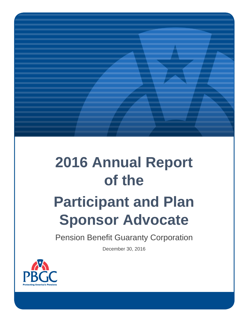# **2016 Annual Report of the**

# **Participant and Plan Sponsor Advocate**

Pension Benefit Guaranty Corporation

December 30, 2016

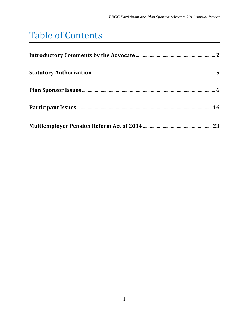# Table of Contents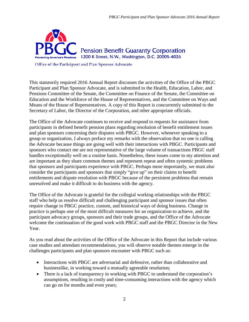

Office of the Participant and Plan Sponsor Advocate

This statutorily required 2016 Annual Report discusses the activities of the Office of the PBGC Participant and Plan Sponsor Advocate, and is submitted to the Health, Education, Labor, and Pensions Committee of the Senate, the Committee on Finance of the Senate, the Committee on Education and the Workforce of the House of Representatives, and the Committee on Ways and Means of the House of Representatives. A copy of this Report is concurrently submitted to the Secretary of Labor, the Director of the Corporation, and other appropriate officials.

The Office of the Advocate continues to receive and respond to requests for assistance from participants in defined benefit pension plans regarding resolution of benefit entitlement issues and plan sponsors concerning their disputes with PBGC. However, whenever speaking to a group or organization, I always preface my remarks with the observation that no one is calling the Advocate because things are going well with their interactions with PBGC. Participants and sponsors who contact me are not representative of the large volume of transactions PBGC staff handles exceptionally well on a routine basis. Nonetheless, these issues come to my attention and are important as they share common themes and represent repeat and often systemic problems that sponsors and participants experience with PBGC. Perhaps more importantly, we must also consider the participants and sponsors that simply "give up" on their claims to benefit entitlements and dispute resolution with PBGC because of the persistent problems that remain unresolved and make it difficult to do business with the agency.

The Office of the Advocate is grateful for the collegial working relationships with the PBGC staff who help us resolve difficult and challenging participant and sponsor issues that often require change in PBGC practice, custom, and historical ways of doing business. Change in practice is perhaps one of the most difficult measures for an organization to achieve, and the participant advocacy groups, sponsors and their trade groups, and the Office of the Advocate welcome the continuation of the good work with PBGC staff and the PBGC Director in the New Year.

As you read about the activities of the Office of the Advocate in this Report that include various case studies and attendant recommendations, you will observe notable themes emerge in the challenges participants and plan sponsors encounter with PBGC such as:

- Interactions with PBGC are adversarial and defensive, rather than collaborative and businesslike, in working toward a mutually agreeable resolution;
- There is a lack of transparency in working with PBGC to understand the corporation's assumptions, resulting in costly and time-consuming interactions with the agency which can go on for months and even years;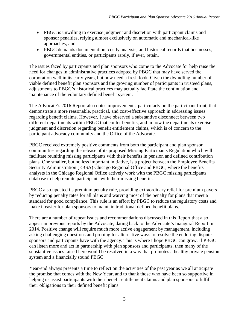- PBGC is unwilling to exercise judgment and discretion with participant claims and sponsor penalties, relying almost exclusively on automatic and mechanical-like approaches; and
- PBGC demands documentation, costly analysis, and historical records that businesses, governmental entities, or participants rarely, if ever, retain.

The issues faced by participants and plan sponsors who come to the Advocate for help raise the need for changes in administrative practices adopted by PBGC that may have served the corporation well in its early years, but now need a fresh look. Given the dwindling number of viable defined benefit plan sponsors and the growing number of participants in trusteed plans, adjustments to PBGC's historical practices may actually facilitate the continuation and maintenance of the voluntary defined benefit system.

The Advocate's 2016 Report also notes improvements, particularly on the participant front, that demonstrate a more reasonable, practical, and cost-effective approach in addressing issues regarding benefit claims. However, I have observed a substantive disconnect between two different departments within PBGC that confer benefits, and in how the departments exercise judgment and discretion regarding benefit entitlement claims, which is of concern to the participant advocacy community and the Office of the Advocate.

PBGC received extremely positive comments from both the participant and plan sponsor communities regarding the release of its proposed Missing Participants Regulation which will facilitate reuniting missing participants with their benefits in pension and defined contribution plans. One smaller, but no less important initiative, is a project between the Employee Benefits Security Administration (EBSA) Chicago Regional Office and PBGC, where the benefits analysts in the Chicago Regional Office actively work with the PBGC missing participants database to help reunite participants with their missing benefits.

PBGC also updated its premium penalty rule, providing extraordinary relief for premium payers by reducing penalty rates for all plans and waiving most of the penalty for plans that meet a standard for good compliance. This rule is an effort by PBGC to reduce the regulatory costs and make it easier for plan sponsors to maintain traditional defined benefit plans.

There are a number of repeat issues and recommendations discussed in this Report that also appear in previous reports by the Advocate, dating back to the Advocate's Inaugural Report in 2014. Positive change will require much more active engagement by management, including asking challenging questions and probing for alternative ways to resolve the enduring disputes sponsors and participants have with the agency. This is where I hope PBGC can grow. If PBGC can listen more and act in partnership with plan sponsors and participants, then many of the substantive issues raised here would be resolved in a way that promotes a healthy private pension system and a financially sound PBGC.

Year-end always presents a time to reflect on the activities of the past year as we all anticipate the promise that comes with the New Year, and to thank those who have been so supportive in helping us assist participants with their benefit entitlement claims and plan sponsors to fulfill their obligations to their defined benefit plans.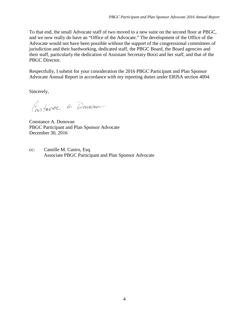To that end, the small Advocate staff of two moved to a new suite on the second floor at PBGC, and we now really do have an "Office of the Advocate." The development of the Office of the Advocate would not have been possible without the support of the congressional committees of jurisdiction and their hardworking, dedicated staff, the PBGC Board, the Board agencies and their staff, particularly the dedication of Assistant Secretary Borzi and her staff, and that of the PBGC Director.

Respectfully, I submit for your consideration the 2016 PBGC Participant and Plan Sponsor Advocate Annual Report in accordance with my reporting duties under ERISA section 4004.

Sincerely,

Constance A. Donovan

Constance A. Donovan PBGC Participant and Plan Sponsor Advocate December 30, 2016

cc: Camille M. Castro, Esq. Associate PBGC Participant and Plan Sponsor Advocate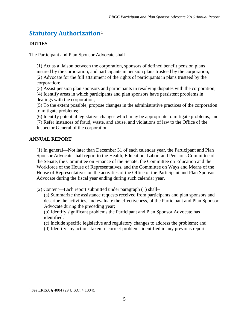# **Statutory Authorization**[1](#page-5-0)

#### **DUTIES**

The Participant and Plan Sponsor Advocate shall—

(1) Act as a liaison between the corporation, sponsors of defined benefit pension plans insured by the corporation, and participants in pension plans trusteed by the corporation; (2) Advocate for the full attainment of the rights of participants in plans trusteed by the corporation;

(3) Assist pension plan sponsors and participants in resolving disputes with the corporation; (4) Identify areas in which participants and plan sponsors have persistent problems in dealings with the corporation;

(5) To the extent possible, propose changes in the administrative practices of the corporation to mitigate problems;

(6) Identify potential legislative changes which may be appropriate to mitigate problems; and (7) Refer instances of fraud, waste, and abuse, and violations of law to the Office of the Inspector General of the corporation.

#### **ANNUAL REPORT**

(1) In general—Not later than December 31 of each calendar year, the Participant and Plan Sponsor Advocate shall report to the Health, Education, Labor, and Pensions Committee of the Senate, the Committee on Finance of the Senate, the Committee on Education and the Workforce of the House of Representatives, and the Committee on Ways and Means of the House of Representatives on the activities of the Office of the Participant and Plan Sponsor Advocate during the fiscal year ending during such calendar year.

(2) Content—Each report submitted under paragraph (1) shall--

(a) Summarize the assistance requests received from participants and plan sponsors and describe the activities, and evaluate the effectiveness, of the Participant and Plan Sponsor Advocate during the preceding year;

(b) Identify significant problems the Participant and Plan Sponsor Advocate has identified;

(c) Include specific legislative and regulatory changes to address the problems; and

(d) Identify any actions taken to correct problems identified in any previous report.

<span id="page-5-0"></span><sup>1</sup> *See* ERISA § 4004 (29 U.S.C. § 1304).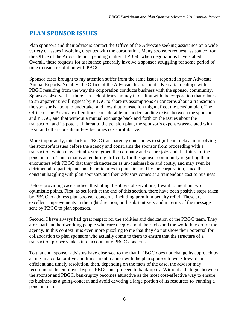# **PLAN SPONSOR ISSUES**

Plan sponsors and their advisors contact the Office of the Advocate seeking assistance on a wide variety of issues involving disputes with the corporation. Many sponsors request assistance from the Office of the Advocate on a pending matter at PBGC when negotiations have stalled. Overall, these requests for assistance generally involve a sponsor struggling for some period of time to reach resolution with PBGC.

Sponsor cases brought to my attention suffer from the same issues reported in prior Advocate Annual Reports. Notably, the Office of the Advocate hears about adversarial dealings with PBGC resulting from the way the corporation conducts business with the sponsor community. Sponsors observe that there is a lack of transparency in dealing with the corporation that relates to an apparent unwillingness by PBGC to share its assumptions or concerns about a transaction the sponsor is about to undertake, and how that transaction might affect the pension plan. The Office of the Advocate often finds considerable misunderstanding exists between the sponsor and PBGC, and that without a mutual exchange back and forth on the issues about the transaction and its potential threat to the pension plan, the sponsor's expenses associated with legal and other consultant fees becomes cost-prohibitive.

More importantly, this lack of PBGC transparency contributes to significant delays in resolving the sponsor's issues before the agency and constrains the sponsor from proceeding with a transaction which may actually strengthen the company and secure jobs and the future of the pension plan. This remains an enduring difficulty for the sponsor community regarding their encounters with PBGC that they characterize as un-businesslike and costly, and may even be detrimental to participants and beneficiaries in plans insured by the corporation, since the constant haggling with plan sponsors and their advisors comes at a tremendous cost to business.

Before providing case studies illustrating the above observations, I want to mention two optimistic points. First, as set forth at the end of this section, there have been positive steps taken by PBGC to address plan sponsor concerns, including premium penalty relief. These are excellent improvements in the right direction, both substantively and in terms of the message sent by PBGC to plan sponsors.

Second, I have always had great respect for the abilities and dedication of the PBGC team. They are smart and hardworking people who care deeply about their jobs and the work they do for the agency. In this context, it is even more puzzling to me that they do not show their potential for collaboration to plan sponsors who actually come to them to ensure that the structure of a transaction properly takes into account any PBGC concerns.

To that end, sponsor advisors have observed to me that if PBGC does not change its approach by acting in a collaborative and transparent manner with the plan sponsor to work toward an efficient and timely resolution, then, depending on the facts of the case, the advisor may recommend the employer bypass PBGC and proceed to bankruptcy. Without a dialogue between the sponsor and PBGC, bankruptcy becomes attractive as the most cost-effective way to ensure its business as a going-concern and avoid devoting a large portion of its resources to running a pension plan.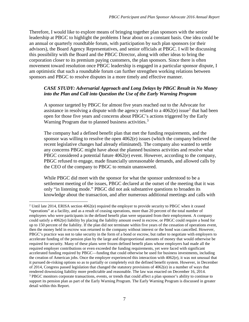Therefore, I would like to explore means of bringing together plan sponsors with the senior leadership at PBGC to highlight the problems I hear about on a constant basis. One idea could be an annual or quarterly roundtable forum, with participation by such plan sponsors (or their advisors), the Board Agency Representatives, and senior officials at PBGC. I will be discussing this possibility with the Board and the PBGC Director, along with other ideas to bring the corporation closer to its premium paying customers, the plan sponsors. Since there is often movement toward resolution once PBGC leadership is engaged in a particular sponsor dispute, I am optimistic that such a roundtable forum can further strengthen working relations between sponsors and PBGC to resolve disputes in a more timely and effective manner.

#### *CASE STUDY: Adversarial Approach and Long Delays by PBGC Result in No Money into the Plan and Call into Question the Use of the Early Warning Program*

A sponsor targeted by PBGC for almost five years reached out to the Advocate for assistance in resolving a dispute with the agency related to a  $4062(e)$  $4062(e)$  $4062(e)$  issue<sup>2</sup> that had been open for those five years and concerns about PBGC's actions triggered by the Early Warning Program due to planned business activities.<sup>[3](#page-7-1)</sup>

The company had a defined benefit plan that met the funding requirements, and the sponsor was willing to resolve the open 4062(e) issues (which the company believed the recent legislative changes had already eliminated). The company also wanted to settle any concerns PBGC might have about the planned business activities and resolve what PBGC considered a potential future 4062(e) event. However, according to the company, PBGC refused to engage, made financially unreasonable demands, and allowed calls by the CEO of the company to PBGC to remain unanswered.

While PBGC did meet with the sponsor for what the sponsor understood to be a settlement meeting of the issues, PBGC declared at the outset of the meeting that it was only "in listening mode." PBGC did not ask substantive questions to broaden its knowledge about the transaction, and after numerous additional meetings and calls with

<span id="page-7-1"></span><span id="page-7-0"></span><sup>&</sup>lt;sup>2</sup> Until late 2014, ERISA section 4062(e) required the employer to provide security to PBGC when it ceased "operations" at a facility, and as a result of ceasing operations, more than 20 percent of the total number of employees who were participants in the defined benefit plan were separated from their employment. A company could satisfy a 4062(e) liability by placing the liability amount owed in escrow, or PBGC could require a bond for up to 150 percent of the liability. If the plan did not terminate within five years of the cessation of operations event, then the money held in escrow was returned to the company without interest or the bond was cancelled. However, PBGC's practice was not to take security in the form of a bond or escrow, but rather to negotiate with employers to accelerate funding of the pension plan by the large and disproportional amounts of money that would otherwise be required for security. Many of these plans were frozen defined benefit plans whose employers had made all the required employer contributions or even exceeded the funding requirements, yet were faced with significant accelerated funding required by PBGC—funding that could otherwise be used for business investments, including the creation of American jobs. Once the employer experienced this interaction with 4062(e), it was not unusual that it pursued de-risking options so as to partially or completely exit the defined benefit system. However, in December of 2014, Congress passed legislation that changed the statutory provisions of 4062(e) in a number of ways that rendered downsizing liability more predictable and reasonable. The law was enacted on December 16, 2014. <sup>3</sup> PBGC monitors corporate transactions, events, or trends that could affect a plan sponsor's ability to continue to support its pension plan as part of the Early Warning Program. The Early Warning Program is discussed in greater detail within this Report.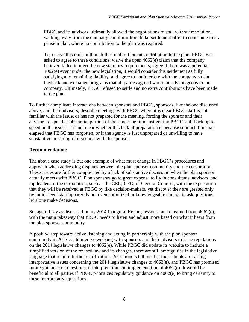PBGC and its advisors, ultimately allowed the negotiations to stall without resolution, walking away from the company's multimillion dollar settlement offer to contribute to its pension plan, where no contribution to the plan was required.

To receive this multimillion dollar final settlement contribution to the plan, PBGC was asked to agree to three conditions: waive the open 4062(e) claim that the company believed failed to meet the new statutory requirements; agree if there was a potential 4062(e) event under the new legislation, it would consider this settlement as fully satisfying any remaining liability; and agree to not interfere with the company's debt buyback and exchange programs that all parties agreed would be advantageous to the company. Ultimately, PBGC refused to settle and no extra contributions have been made to the plan.

To further complicate interactions between sponsors and PBGC, sponsors, like the one discussed above, and their advisors, describe meetings with PBGC where it is clear PBGC staff is not familiar with the issue, or has not prepared for the meeting, forcing the sponsor and their advisors to spend a substantial portion of their meeting time just getting PBGC staff back up to speed on the issues. It is not clear whether this lack of preparation is because so much time has elapsed that PBGC has forgotten, or if the agency is just unprepared or unwilling to have substantive, meaningful discourse with the sponsor.

#### **Recommendation**:

The above case study is but one example of what must change in PBGC's procedures and approach when addressing disputes between the plan sponsor community and the corporation. These issues are further complicated by a lack of substantive discussion when the plan sponsor actually meets with PBGC. Plan sponsors go to great expense to fly in consultants, advisors, and top leaders of the corporation, such as the CEO, CFO, or General Counsel, with the expectation that they will be received at PBGC by like decision-makers, yet discover they are greeted only by junior level staff apparently not even authorized or knowledgeable enough to ask questions, let alone make decisions.

So, again I say as discussed in my 2014 Inaugural Report, lessons can be learned from 4062(e), with the main takeaway that PBGC needs to listen and adjust more based on what it hears from the plan sponsor community.

A positive step toward active listening and acting in partnership with the plan sponsor community in 2017 could involve working with sponsors and their advisors to issue regulations on the 2014 legislative changes to 4062(e). While PBGC did update its website to include a simplified version of the revised law and its changes, there are still ambiguities in the legislative language that require further clarification. Practitioners tell me that their clients are raising interpretative issues concerning the 2014 legislative changes to 4062(e), and PBGC has promised future guidance on questions of interpretation and implementation of 4062(e). It would be beneficial to all parties if PBGC prioritizes regulatory guidance on 4062(e) to bring certainty to these interpretative questions.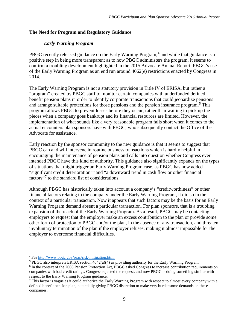#### **The Need for Program and Regulatory Guidance**

#### *Early Warning Program*

PBGC recently released guidance on the Early Warning Program,<sup>[4](#page-9-0)</sup> and while that guidance is a positive step in being more transparent as to how PBGC administers the program, it seems to confirm a troubling development highlighted in the 2015 Advocate Annual Report: PBGC's use of the Early Warning Program as an end run around 4062(e) restrictions enacted by Congress in 2014.

The Early Warning Program is not a statutory provision in Title IV of ERISA, but rather a "program" created by PBGC staff to monitor certain companies with underfunded defined benefit pension plans in order to identify corporate transactions that could jeopardize pensions and arrange suitable protections for those pensions and the pension insurance program.<sup>[5](#page-9-1)</sup> This program allows PBGC to prevent losses before they occur, rather than waiting to pick up the pieces when a company goes bankrupt and its financial resources are limited. However, the implementation of what sounds like a very reasonable program falls short when it comes to the actual encounters plan sponsors have with PBGC, who subsequently contact the Office of the Advocate for assistance.

Early reaction by the sponsor community to the new guidance is that it seems to suggest that PBGC can and will intervene in routine business transactions which is hardly helpful in encouraging the maintenance of pension plans and calls into question whether Congress ever intended PBGC have this kind of authority. This guidance also significantly expands on the types of situations that might trigger an Early Warning Program case, as PBGC has now added "significant credit deterioration"[6](#page-9-2) and "a downward trend in cash flow or other financial factors"[7](#page-9-3) to the standard list of considerations.

Although PBGC has historically taken into account a company's "creditworthiness" or other financial factors relating to the company under the Early Warning Program, it did so in the context of a particular transaction. Now it appears that such factors may be the basis for an Early Warning Program demand absent a particular transaction. For plan sponsors, that is a troubling expansion of the reach of the Early Warning Program. As a result, PBGC may be contacting employers to request that the employer make an excess contribution to the plan or provide some other form of protection to PBGC and/or the plan, in the absence of any transaction, and threaten involuntary termination of the plan if the employer refuses, making it almost impossible for the employer to overcome financial difficulties.

<span id="page-9-0"></span> <sup>4</sup> *See* [http://www.pbgc.gov/prac/risk-mitigation.html.](http://www.pbgc.gov/prac/risk-mitigation.html)

<span id="page-9-1"></span> $5$  PBGC also interprets ERISA section  $4042(a)(4)$  as providing authority for the Early Warning Program.

<span id="page-9-2"></span><sup>6</sup> In the context of the 2006 Pension Protection Act, PBGC asked Congress to increase contribution requirements on companies with bad credit ratings. Congress rejected the request, and now PBGC is doing something similar with respect to the Early Warning Program guidance.

<span id="page-9-3"></span><sup>&</sup>lt;sup>7</sup> This factor is vague as it could authorize the Early Warning Program with respect to almost every company with a defined benefit pension plan, potentially giving PBGC discretion to make very burdensome demands on these companies.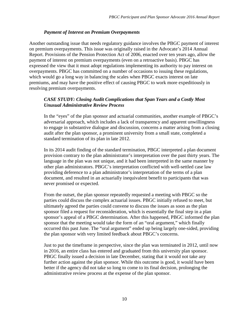#### *Payment of Interest on Premium Overpayments*

Another outstanding issue that needs regulatory guidance involves the PBGC payment of interest on premium overpayments. This issue was originally raised in the Advocate's 2014 Annual Report. Provisions of the Pension Protection Act of 2006, enacted over ten years ago, allow the payment of interest on premium overpayments (even on a retroactive basis). PBGC has expressed the view that it must adopt regulations implementing its authority to pay interest on overpayments. PBGC has committed on a number of occasions to issuing these regulations, which would go a long way in balancing the scales when PBGC exacts interest on late premiums, and may have the positive effect of causing PBGC to work more expeditiously in resolving premium overpayments.

#### *CASE STUDY: Closing Audit Complications that Span Years and a Costly Most Unusual Administrative Review Process*

In the "eyes" of the plan sponsor and actuarial communities, another example of PBGC's adversarial approach, which includes a lack of transparency and apparent unwillingness to engage in substantive dialogue and discussion, concerns a matter arising from a closing audit after the plan sponsor, a prominent university from a small state, completed a standard termination of its plan in late 2012.

In its 2014 audit finding of the standard termination, PBGC interpreted a plan document provision contrary to the plan administrator's interpretation over the past thirty years. The language in the plan was not unique, and it had been interpreted in the same manner by other plan administrators. PBGC's interpretation conflicted with well-settled case law providing deference to a plan administrator's interpretation of the terms of a plan document, and resulted in an actuarially inequivalent benefit to participants that was never promised or expected.

From the outset, the plan sponsor repeatedly requested a meeting with PBGC so the parties could discuss the complex actuarial issues. PBGC initially refused to meet, but ultimately agreed the parties could convene to discuss the issues as soon as the plan sponsor filed a request for reconsideration, which is essentially the final step in a plan sponsor's appeal of a PBGC determination. After this happened, PBGC informed the plan sponsor that the meeting would take the form of an "oral argument," which finally occurred this past June. The "oral argument" ended up being largely one-sided, providing the plan sponsor with very limited feedback about PBGC's concerns.

Just to put the timeframe in perspective, since the plan was terminated in 2012, until now in 2016, an entire class has entered and graduated from this university plan sponsor. PBGC finally issued a decision in late December, stating that it would not take any further action against the plan sponsor. While this outcome is good, it would have been better if the agency did not take so long to come to its final decision, prolonging the administrative review process at the expense of the plan sponsor.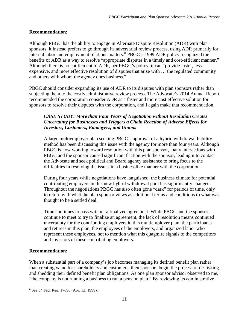#### **Recommendation**:

Although PBGC has the ability to engage in Alternate Dispute Resolution (ADR) with plan sponsors, it instead prefers to go through its adversarial review process, using ADR primarily for internal labor and employment relations matters.<sup>[8](#page-11-0)</sup> PBGC's 1999 ADR policy recognized the benefits of ADR as a way to resolve "appropriate disputes in a timely and cost-efficient manner." Although there is no entitlement to ADR, per PBGC's policy, it can "provide faster, less expensive, and more effective resolution of disputes that arise with … the regulated community and others with whom the agency does business."

PBGC should consider expanding its use of ADR to its disputes with plan sponsors rather than subjecting them to the costly administrative review process. The Advocate's 2014 Annual Report recommended the corporation consider ADR as a faster and more cost effective solution for sponsors to resolve their disputes with the corporation, and I again make that recommendation.

#### *CASE STUDY: More than Four Years of Negotiation without Resolution Creates Uncertainty for Businesses and Triggers a Chain Reaction of Adverse Effects for Investors, Customers, Employees, and Unions*

A large multiemployer plan seeking PBGC's approval of a hybrid withdrawal liability method has been discussing this issue with the agency for more than four years. Although PBGC is now working toward resolution with this plan sponsor, many interactions with PBGC and the sponsor caused significant friction with the sponsor, leading it to contact the Advocate and seek political and Board agency assistance to bring focus to the difficulties in resolving the issues in a businesslike manner with the corporation.

During four years while negotiations have languished, the business climate for potential contributing employers in this new hybrid withdrawal pool has significantly changed. Throughout the negotiations PBGC has also often gone "dark" for periods of time, only to return with what the plan sponsor views as additional terms and conditions to what was thought to be a settled deal.

Time continues to pass without a finalized agreement. While PBGC and the sponsor continue to meet to try to finalize an agreement, the lack of resolution means continued uncertainty for the contributing employers in this multiemployer plan, the participants and retirees in this plan, the employees of the employers, and organized labor who represent these employees, not to mention what this quagmire signals to the competitors and investors of these contributing employers.

#### **Recommendation**:

When a substantial part of a company's job becomes managing its defined benefit plan rather than creating value for shareholders and customers, then sponsors begin the process of de-risking and shedding their defined benefit plan obligations. As one plan sponsor advisor observed to me, "the company is not running a business to run a pension plan." By reviewing its administrative

<span id="page-11-0"></span>l <sup>8</sup> See 64 Fed. Reg. 17696 (Apr. 12, 1999).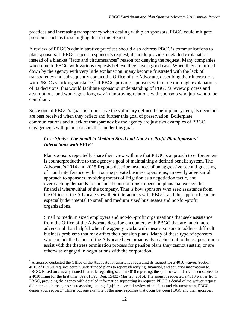practices and increasing transparency when dealing with plan sponsors, PBGC could mitigate problems such as those highlighted in this Report.

A review of PBGC's administrative practices should also address PBGC's communications to plan sponsors. If PBGC rejects a sponsor's request, it should provide a detailed explanation instead of a blanket "facts and circumstances" reason for denying the request. Many companies who come to PBGC with various requests believe they have a good case. When they are turned down by the agency with very little explanation, many become frustrated with the lack of transparency and subsequently contact the Office of the Advocate, describing their interactions with PBGC as lacking substance.<sup>[9](#page-12-0)</sup> If PBGC provides sponsors with more thorough explanations of its decisions, this would facilitate sponsors' understanding of PBGC's review process and assumptions, and would go a long way in improving relations with sponsors who just want to be compliant.

Since one of PBGC's goals is to preserve the voluntary defined benefit plan system, its decisions are best received when they reflect and further this goal of preservation. Boilerplate communications and a lack of transparency by the agency are just two examples of PBGC engagements with plan sponsors that hinder this goal.

#### *Case Study: The Small to Medium Sized and Not-For-Profit Plan Sponsors' Interactions with PBGC*

Plan sponsors repeatedly share their view with me that PBGC's approach to enforcement is counterproductive to the agency's goal of maintaining a defined benefit system. The Advocate's 2014 and 2015 Reports describe instances of an aggressive second-guessing of – and interference with – routine private business operations, an overly adversarial approach to sponsors involving threats of litigation as a negotiation tactic, and overreaching demands for financial contributions to pension plans that exceed the financial wherewithal of the company. That is how sponsors who seek assistance from the Office of the Advocate view their interactions with PBGC, and this approach can be especially detrimental to small and medium sized businesses and not-for-profit organizations.

Small to medium sized employers and not-for-profit organizations that seek assistance from the Office of the Advocate describe encounters with PBGC that are much more adversarial than helpful when the agency works with these sponsors to address difficult business problems that may affect their pension plans. Many of these type of sponsors who contact the Office of the Advocate have proactively reached out to the corporation to assist with the distress termination process for pension plans they cannot sustain, or are otherwise engaged in negotiations with the corporation.

<span id="page-12-0"></span><sup>&</sup>lt;sup>9</sup> A sponsor contacted the Office of the Advocate for assistance regarding its request for a 4010 waiver. Section 4010 of ERISA requires certain underfunded plans to report identifying, financial, and actuarial information to PBGC. Based on a newly issued final rule regarding section 4010 reporting, the sponsor would have been subject to a 4010 filing for the first time. *See* 81 Fed. Reg. 15432 (Mar. 23, 2016). The sponsor requested a 4010 waiver from PBGC, providing the agency with detailed information supporting its request. PBGC's denial of the waiver request did not explain the agency's reasoning, stating, "[a]fter a careful review of the facts and circumstances, PBGC denies your request." This is but one example of the non-responses that occur between PBGC and plan sponsors.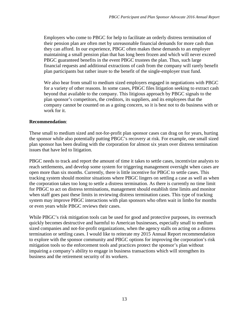Employers who come to PBGC for help to facilitate an orderly distress termination of their pension plan are often met by unreasonable financial demands for more cash than they can afford. In our experience, PBGC often makes these demands to an employer maintaining a small pension plan that has long been frozen and which will never exceed PBGC guaranteed benefits in the event PBGC trustees the plan. Thus, such large financial requests and additional extractions of cash from the company will rarely benefit plan participants but rather inure to the benefit of the single-employer trust fund.

We also hear from small to medium sized employers engaged in negotiations with PBGC for a variety of other reasons. In some cases, PBGC files litigation seeking to extract cash beyond that available to the company. This litigious approach by PBGC signals to the plan sponsor's competitors, the creditors, its suppliers, and its employees that the company cannot be counted on as a going concern, so it is best not to do business with or work for it.

#### **Recommendation**:

These small to medium sized and not-for-profit plan sponsor cases can drag on for years, hurting the sponsor while also potentially putting PBGC's recovery at risk. For example, one small sized plan sponsor has been dealing with the corporation for almost six years over distress termination issues that have led to litigation.

PBGC needs to track and report the amount of time it takes to settle cases, incentivize analysts to reach settlements, and develop some system for triggering management oversight when cases are open more than six months. Currently, there is little incentive for PBGC to settle cases. This tracking system should monitor situations where PBGC lingers on settling a case as well as when the corporation takes too long to settle a distress termination. As there is currently no time limit for PBGC to act on distress terminations, management should establish time limits and monitor when staff goes past these limits in reviewing distress termination cases. This type of tracking system may improve PBGC interactions with plan sponsors who often wait in limbo for months or even years while PBGC reviews their cases.

While PBGC's risk mitigation tools can be used for good and protective purposes, its overreach quickly becomes destructive and harmful to American businesses, especially small to medium sized companies and not-for-profit organizations, when the agency stalls on acting on a distress termination or settling cases. I would like to reiterate my 2015 Annual Report recommendation to explore with the sponsor community and PBGC options for improving the corporation's risk mitigation tools so the enforcement tools and practices protect the sponsor's plan without impairing a company's ability to engage in business transactions which will strengthen its business and the retirement security of its workers.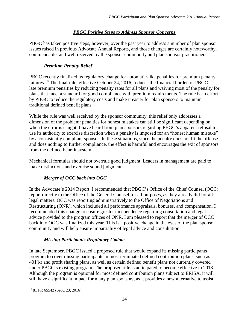#### *PBGC Positive Steps to Address Sponsor Concerns*

PBGC has taken positive steps, however, over the past year to address a number of plan sponsor issues raised in previous Advocate Annual Reports, and those changes are certainly noteworthy, commendable, and well received by the sponsor community and plan sponsor practitioners.

#### *Premium Penalty Relief*

PBGC recently finalized its regulatory change for automatic-like penalties for premium penalty failures.<sup>[10](#page-14-0)</sup> The final rule, effective October 24, 2016, reduces the financial burden of PBGC's late premium penalties by reducing penalty rates for all plans and waiving most of the penalty for plans that meet a standard for good compliance with premium requirements. The rule is an effort by PBGC to reduce the regulatory costs and make it easier for plan sponsors to maintain traditional defined benefit plans.

While the rule was well received by the sponsor community, this relief only addresses a dimension of the problem: penalties for honest mistakes can still be significant depending on when the error is caught. I have heard from plan sponsors regarding PBGC's apparent refusal to use its authority to exercise discretion when a penalty is imposed for an "honest human mistake" by a consistently compliant sponsor. In these situations, since the penalty does not fit the offense and does nothing to further compliance, the effect is harmful and encourages the exit of sponsors from the defined benefit system.

Mechanical formulas should not overrule good judgment. Leaders in management are paid to make distinctions and exercise sound judgment.

#### *Merger of OCC back into OGC*

In the Advocate's 2014 Report, I recommended that PBGC's Office of the Chief Counsel (OCC) report directly to the Office of the General Counsel for all purposes, as they already did for all legal matters. OCC was reporting administratively to the Office of Negotiations and Restructuring (ONR), which included all performance appraisals, bonuses, and compensation. I recommended this change to ensure greater independence regarding consultation and legal advice provided to the program offices of ONR. I am pleased to report that the merger of OCC back into OGC was finalized this year. This is a positive change in the eyes of the plan sponsor community and will help ensure impartiality of legal advice and consultation.

#### *Missing Participants Regulatory Update*

In late September, PBGC issued a proposed rule that would expand its missing participants program to cover missing participants in most terminated defined contribution plans, such as 401(k) and profit sharing plans, as well as certain defined benefit plans not currently covered under PBGC's existing program. The proposed rule is anticipated to become effective in 2018. Although the program is optional for most defined contribution plans subject to ERISA, it will still have a significant impact for many plan sponsors, as it provides a new alternative to assist

<span id="page-14-0"></span><sup>10</sup> 81 FR 65542 (Sept. 23, 2016).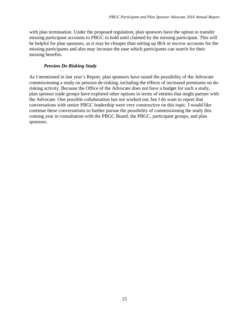with plan termination. Under the proposed regulation, plan sponsors have the option to transfer missing participant accounts to PBGC to hold until claimed by the missing participant. This will be helpful for plan sponsors, as it may be cheaper than setting up IRA or escrow accounts for the missing participants and also may increase the ease which participants can search for their missing benefits.

#### *Pension De-Risking Study*

As I mentioned in last year's Report, plan sponsors have raised the possibility of the Advocate commissioning a study on pension de-risking, including the effects of increased premiums on derisking activity. Because the Office of the Advocate does not have a budget for such a study, plan sponsor trade groups have explored other options in terms of entities that might partner with the Advocate. One possible collaboration has not worked out, but I do want to report that conversations with senior PBGC leadership were very constructive on this topic. I would like continue these conversations to further pursue the possibility of commissioning the study this coming year in consultation with the PBGC Board, the PBGC, participant groups, and plan sponsors.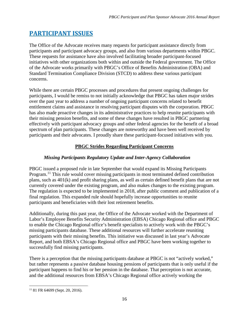# **PARTICIPANT ISSUES**

The Office of the Advocate receives many requests for participant assistance directly from participants and participant advocacy groups, and also from various departments within PBGC. These requests for assistance have also involved facilitating broader participant-focused initiatives with other organizations both within and outside the Federal government. The Office of the Advocate works primarily with PBGC's Office of Benefits Administration (OBA) and Standard Termination Compliance Division (STCD) to address these various participant concerns.

While there are certain PBGC processes and procedures that present ongoing challenges for participants, I would be remiss to not initially acknowledge that PBGC has taken major strides over the past year to address a number of ongoing participant concerns related to benefit entitlement claims and assistance in resolving participant disputes with the corporation. PBGC has also made proactive changes in its administrative practices to help reunite participants with their missing pension benefits, and some of these changes have resulted in PBGC partnering effectively with participant advocacy groups and other federal agencies for the benefit of a broad spectrum of plan participants. These changes are noteworthy and have been well received by participants and their advocates. I proudly share these participant-focused initiatives with you.

#### **PBGC Strides Regarding Participant Concerns**

#### *Missing Participants Regulatory Update and Inter-Agency Collaboration*

PBGC issued a proposed rule in late September that would expand its Missing Participants Program.<sup>[11](#page-16-0)</sup> This rule would cover missing participants in most terminated defined contribution plans, such as 401(k) and profit sharing plans, as well as certain defined benefit plans that are not currently covered under the existing program, and also makes changes to the existing program. The regulation is expected to be implemented in 2018, after public comment and publication of a final regulation. This expanded rule should hopefully increase opportunities to reunite participants and beneficiaries with their lost retirement benefits.

Additionally, during this past year, the Office of the Advocate worked with the Department of Labor's Employee Benefits Security Administration (EBSA) Chicago Regional office and PBGC to enable the Chicago Regional office's benefit specialists to actively work with the PBGC's missing participants database. These additional resources will further accelerate reuniting participants with their missing benefits. This initiative was discussed in last year's Advocate Report, and both EBSA's Chicago Regional office and PBGC have been working together to successfully find missing participants.

There is a perception that the missing participants database at PBGC is not "actively worked," but rather represents a passive database housing pensions of participants that is only useful if the participant happens to find his or her pension in the database. That perception is not accurate, and the additional resources from EBSA's Chicago Regional office actively working the

<span id="page-16-0"></span><sup>11</sup> 81 FR 64699 (Sept. 20, 2016).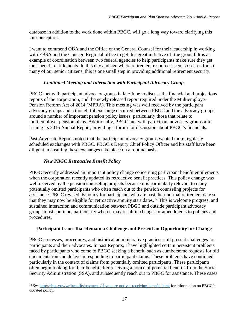database in addition to the work done within PBGC, will go a long way toward clarifying this misconception.

I want to commend OBA and the Office of the General Counsel for their leadership in working with EBSA and the Chicago Regional office to get this great initiative off the ground. It is an example of coordination between two federal agencies to help participants make sure they get their benefit entitlements. In this day and age where retirement resources seem so scarce for so many of our senior citizens, this is one small step in providing additional retirement security.

#### *Continued Meeting and Interaction with Participant Advocacy Groups*

PBGC met with participant advocacy groups in late June to discuss the financial and projections reports of the corporation, and the newly released report required under the Multiemployer Pension Reform Act of 2014 (MPRA). This meeting was well received by the participant advocacy groups and a thoughtful exchange occurred between PBGC and the advocacy groups around a number of important pension policy issues, particularly those that relate to multiemployer pension plans. Additionally, PBGC met with participant advocacy groups after issuing its 2016 Annual Report, providing a forum for discussion about PBGC's financials.

Past Advocate Reports noted that the participant advocacy groups wanted more regularly scheduled exchanges with PBGC. PBGC's Deputy Chief Policy Officer and his staff have been diligent in ensuring these exchanges take place on a routine basis.

#### *New PBGC Retroactive Benefit Policy*

PBGC recently addressed an important policy change concerning participant benefit entitlements when the corporation recently updated its retroactive benefit practices. This policy change was well received by the pension counseling projects because it is particularly relevant to many potentially omitted participants who often reach out to the pension counseling projects for assistance. PBGC revised its policy for participants who are past their normal retirement date so that they may now be eligible for retroactive annuity start dates.[12](#page-17-0) This is welcome progress, and sustained interaction and communication between PBGC and outside participant advocacy groups must continue, particularly when it may result in changes or amendments to policies and procedures.

#### **Participant Issues that Remain a Challenge and Present an Opportunity for Change**

PBGC processes, procedures, and historical administrative practices still present challenges for participants and their advocates. In past Reports, I have highlighted certain persistent problems faced by participants who come to PBGC seeking a benefit, such as cumbersome requests for old documentation and delays in responding to participant claims. These problems have continued, particularly in the context of claims from potentially omitted participants. These participants often begin looking for their benefit after receiving a notice of potential benefits from the Social Security Administration (SSA), and subsequently reach out to PBGC for assistance. These cases

<span id="page-17-0"></span>l <sup>12</sup> *See* <http://pbgc.gov/wr/benefits/payments/if-you-are-not-yet-receiving-benefits.html> for information on PBGC's updated policy.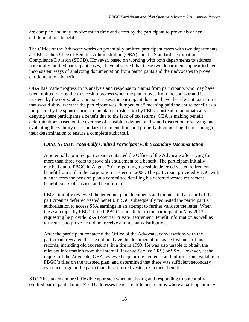are complex and may involve much time and effort by the participant to prove his or her entitlement to a benefit.

The Office of the Advocate works on potentially omitted participant cases with two departments at PBGC: the Office of Benefits Administration (OBA) and the Standard Termination Compliance Division (STCD). However, based on working with both departments to address potentially omitted participant cases, I have observed that these two departments appear to have inconsistent ways of analyzing documentation from participants and their advocates to prove entitlement to a benefit.

OBA has made progress in its analysis and response to claims from participants who may have been omitted during the trusteeship process when the plan moves from the sponsor and is trusteed by the corporation. In many cases, the participant does not have the relevant tax returns that would show whether the participant was "lumped out," meaning paid the entire benefit as a lump sum by the sponsor prior to the plan's trusteeship by PBGC. Instead of automatically denying these participants a benefit due to the lack of tax returns, OBA is making benefit determinations based on the exercise of sensible judgment and sound discretion, reviewing and evaluating the validity of secondary documentation, and properly documenting the reasoning of their determination to ensure a complete audit trail.

#### *CASE STUDY: Potentially Omitted Participant with Secondary Documentation*

A potentially omitted participant contacted the Office of the Advocate after trying for more than three years to prove his entitlement to a benefit. The participant initially reached out to PBGC in August 2012 regarding a possible deferred vested retirement benefit from a plan the corporation trusteed in 2006. The participant provided PBGC with a letter from the pension plan's committee detailing his deferred vested retirement benefit, years of service, and benefit rate.

PBGC initially reviewed the letter and plan documents and did not find a record of the participant's deferred vested benefit. PBGC subsequently requested the participant's authorization to access SSA earnings in an attempt to further validate the letter. When these attempts by PBGC failed, PBGC sent a letter to the participant in May 2013 requesting he provide SSA Potential Private Retirement Benefit information as well as tax returns to prove he did not receive a lump sum distribution.

After the participant contacted the Office of the Advocate, conversations with the participant revealed that he did not have the documentation, as he lost most of his records, including old tax returns, in a fire in 1999. He was also unable to obtain the relevant information from the Internal Revenue Service (IRS) or SSA. However, at the request of the Advocate, OBA reviewed supporting evidence and information available in PBGC's files on the trusteed plan, and determined that there was sufficient secondary evidence to grant the participant his deferred vested retirement benefit.

STCD has taken a more inflexible approach when analyzing and responding to potentially omitted participant claims. STCD addresses benefit entitlement claims where a participant may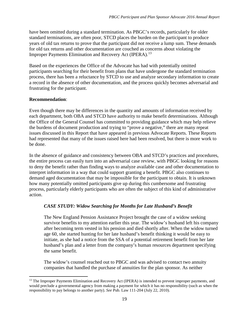have been omitted during a standard termination. As PBGC's records, particularly for older standard terminations, are often poor, STCD places the burden on the participant to produce years of old tax returns to prove that the participant did not receive a lump sum. These demands for old tax returns and other documentation are couched as concerns about violating the Improper Payments Elimination and Recovery Act (IPERA).<sup>13</sup>

Based on the experiences the Office of the Advocate has had with potentially omitted participants searching for their benefit from plans that have undergone the standard termination process, there has been a reluctance by STCD to use and analyze secondary information to create a record in the absence of other documentation, and the process quickly becomes adversarial and frustrating for the participant.

#### **Recommendation**:

Even though there may be differences in the quantity and amounts of information received by each department, both OBA and STCD have authority to make benefit determinations. Although the Office of the General Counsel has committed to providing guidance which may help relieve the burdens of document production and trying to "prove a negative," there are many repeat issues discussed in this Report that have appeared in previous Advocate Reports. These Reports had represented that many of the issues raised here had been resolved, but there is more work to be done.

In the absence of guidance and consistency between OBA and STCD's practices and procedures, the entire process can easily turn into an adversarial case review, with PBGC looking for reasons to deny the benefit rather than finding ways to analyze available case and other documentation to interpret information in a way that could support granting a benefit. PBGC also continues to demand aged documentation that may be impossible for the participant to obtain. It is unknown how many potentially omitted participants give up during this cumbersome and frustrating process, particularly elderly participants who are often the subject of this kind of administrative action.

#### *CASE STUDY: Widow Searching for Months for Late Husband's Benefit*

The New England Pension Assistance Project brought the case of a widow seeking survivor benefits to my attention earlier this year. The widow's husband left his company after becoming term vested in his pension and died shortly after. When the widow turned age 60, she started hunting for her late husband's benefit thinking it would be easy to initiate, as she had a notice from the SSA of a potential retirement benefit from her late husband's plan and a letter from the company's human resources department specifying the same benefit.

The widow's counsel reached out to PBGC and was advised to contact two annuity companies that handled the purchase of annuities for the plan sponsor. As neither

<span id="page-19-0"></span> $\overline{\phantom{a}}$ <sup>13</sup> The Improper Payments Elimination and Recovery Act (IPERA) is intended to prevent improper payments, and would preclude a governmental agency from making a payment for which it has no responsibility (such as when the responsibility to pay belongs to another party). *See* Pub. Law 111-204 (July 22, 2010).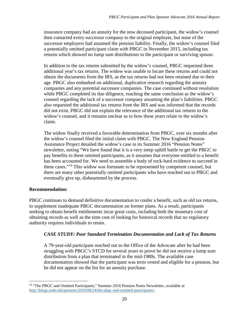insurance company had an annuity for the now deceased participant, the widow's counsel then contacted every successor company to the original employer, but none of the successor employers had assumed the pension liability. Finally, the widow's counsel filed a potentially omitted participant claim with PBGC in November 2015, including tax returns which showed no lump sum distributions to the participant or surviving spouse.

In addition to the tax returns submitted by the widow's counsel, PBGC requested three additional year's tax returns. The widow was unable to locate these returns and could not obtain the documents from the IRS, as the tax returns had not been retained due to their age. PBGC also embarked on additional, duplicative research regarding the annuity companies and any potential successor companies. The case continued without resolution while PBGC completed its due diligence, reaching the same conclusion as the widow's counsel regarding the lack of a successor company assuming the plan's liabilities. PBGC also requested the additional tax returns from the IRS and was informed that the records did not exist. PBGC did not explain the relevance of the additional tax returns to the widow's counsel, and it remains unclear as to how these years relate to the widow's claim.

The widow finally received a favorable determination from PBGC, over six months after the widow's counsel filed the initial claim with PBGC. The New England Pension Assistance Project detailed the widow's case in its Summer 2016 "Pension Notes" newsletter, noting "We have found that it is a very steep uphill battle to get the PBGC to pay benefits to these omitted participants, as it assumes that everyone entitled to a benefit has been accounted for. We need to assemble a body of rock-hard evidence to succeed in these cases."[14](#page-20-0) This widow was fortunate to be represented by competent counsel, but there are many other potentially omitted participants who have reached out to PBGC and eventually give up, disheartened by the process.

#### **Recommendation:**

PBGC continues to demand definitive documentation to confer a benefit, such as old tax returns, to supplement inadequate PBGC documentation on former plans. As a result, participants seeking to obtain benefit entitlements incur great costs, including both the monetary cost of obtaining records as well as the time cost of looking for historical records that no regulatory authority requires individuals to retain.

#### *CASE STUDY: Poor Standard Termination Documentation and Lack of Tax Returns*

A 79-year-old participant reached out to the Office of the Advocate after he had been struggling with PBGC's STCD for several years to prove he did not receive a lump sum distribution from a plan that terminated in the mid-1980s. The available case documentation showed that the participant was term vested and eligible for a pension, but he did not appear on the list for an annuity purchase.

<span id="page-20-0"></span>l <sup>14</sup> "The PBGC and Omitted Participants," Summer 2016 Pension Notes Newsletter, available at [http://blogs.umb.edu/pension/2016/08/24/the-pbgc-and-omitted-participants/.](http://blogs.umb.edu/pension/2016/08/24/the-pbgc-and-omitted-participants/)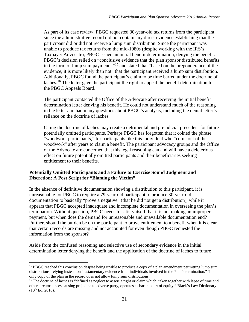As part of its case review, PBGC requested 30-year-old tax returns from the participant, since the administrative record did not contain any direct evidence establishing that the participant did or did not receive a lump sum distribution. Since the participant was unable to produce tax returns from the mid-1980s (despite working with the IRS's Taxpayer Advocate), PBGC issued an initial benefit determination, denying the benefit. PBGC's decision relied on "conclusive evidence that the plan sponsor distributed benefits in the form of lump sum payments,"[15](#page-21-0) and stated that "based on the preponderance of the evidence, it is more likely than not" that the participant received a lump sum distribution. Additionally, PBGC found the participant's claim to be time barred under the doctrine of laches.<sup>[16](#page-21-1)</sup> The letter gave the participant the right to appeal the benefit determination to the PBGC Appeals Board.

The participant contacted the Office of the Advocate after receiving the initial benefit determination letter denying his benefit. He could not understand much of the reasoning in the letter and had many questions about PBGC's analysis, including the denial letter's reliance on the doctrine of laches.

Citing the doctrine of laches may create a detrimental and prejudicial precedent for future potentially omitted participants. Perhaps PBGC has forgotten that it coined the phrase "woodwork participants," for participants like this individual who "come out of the woodwork" after years to claim a benefit. The participant advocacy groups and the Office of the Advocate are concerned that this legal reasoning can and will have a deleterious effect on future potentially omitted participants and their beneficiaries seeking entitlement to their benefits.

#### **Potentially Omitted Participants and a Failure to Exercise Sound Judgment and Discretion: A Post Script for "Blaming the Victim"**

In the absence of definitive documentation showing a distribution to this participant, it is unreasonable for PBGC to require a 79-year-old participant to produce 30-year-old documentation to basically "prove a negative" (that he did not get a distribution), while it appears that PBGC accepted inadequate and incomplete documentation in overseeing the plan's termination. Without question, PBGC needs to satisfy itself that it is not making an improper payment, but when does the demand for unreasonable and unavailable documentation end? Further, should the burden be on the participant to prove entitlement to a benefit when it is clear that certain records are missing and not accounted for even though PBGC requested the information from the sponsor?

Aside from the confused reasoning and selective use of secondary evidence in the initial determination letter denying the benefit and the application of the doctrine of laches to future

<span id="page-21-0"></span> $\overline{\phantom{a}}$ <sup>15</sup> PBGC reached this conclusion despite being unable to produce a copy of a plan amendment permitting lump sum distributions, relying instead on "testamentary evidence from individuals involved in the Plan's termination." The only copy of the plan in the record does not allow lump sum distributions.

<span id="page-21-1"></span><sup>&</sup>lt;sup>16</sup> The doctrine of laches is "defined as neglect to assert a right or claim which, taken together with lapse of time and other circumstances causing prejudice to adverse party, operates as bar in court of equity." Black's Law Dictionary  $(10^{th}$  Ed. 2010).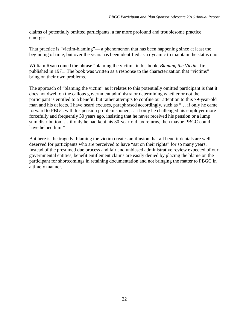claims of potentially omitted participants, a far more profound and troublesome practice emerges.

That practice is "victim-blaming"— a phenomenon that has been happening since at least the beginning of time, but over the years has been identified as a dynamic to maintain the status quo.

William Ryan coined the phrase "blaming the victim" in his book, *Blaming the Victim,* first published in 1971. The book was written as a response to the characterization that "victims" bring on their own problems.

The approach of "blaming the victim" as it relates to this potentially omitted participant is that it does not dwell on the callous government administrator determining whether or not the participant is entitled to a benefit, but rather attempts to confine our attention to this 79-year-old man and his defects. I have heard excuses, paraphrased accordingly, such as "… if only he came forward to PBGC with his pension problem sooner, … if only he challenged his employer more forcefully and frequently 30 years ago, insisting that he never received his pension or a lump sum distribution, … if only he had kept his 30-year-old tax returns, then maybe PBGC could have helped him."

But here is the tragedy: blaming the victim creates an illusion that all benefit denials are welldeserved for participants who are perceived to have "sat on their rights" for so many years. Instead of the presumed due process and fair and unbiased administrative review expected of our governmental entities, benefit entitlement claims are easily denied by placing the blame on the participant for shortcomings in retaining documentation and not bringing the matter to PBGC in a timely manner.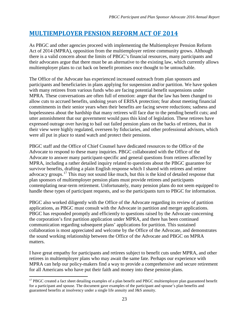# **MULTIEMPLOYER PENSION REFORM ACT OF 2014**

As PBGC and other agencies proceed with implementing the Multiemployer Pension Reform Act of 2014 (MPRA), opposition from the multiemployer retiree community grows. Although there is a valid concern about the limits of PBGC's financial resources, many participants and their advocates argue that there must be an alternative to the existing law, which currently allows multiemployer plans to cut back on benefit promises once thought to be untouchable.

The Office of the Advocate has experienced increased outreach from plan sponsors and participants and beneficiaries in plans applying for suspension and/or partition. We have spoken with many retirees from various funds who are facing potential benefit suspensions under MPRA. These conversations are often full of emotion: anger that the law has been changed to allow cuts to accrued benefits, undoing years of ERISA protection; fear about meeting financial commitments in their senior years when their benefits are facing severe reductions; sadness and hopelessness about the hardship that many retirees will face due to the pending benefit cuts; and utter astonishment that our government would pass this kind of legislation. These retirees have expressed outrage over having to bail out failed pension plans on the backs of retirees, that in their view were highly regulated, overseen by fiduciaries, and other professional advisors, which were all put in place to stand watch and protect their pensions.

PBGC staff and the Office of Chief Counsel have dedicated resources to the Office of the Advocate to respond to these many inquiries. PBGC collaborated with the Office of the Advocate to answer many participant-specific and general questions from retirees affected by MPRA, including a rather detailed inquiry related to questions about the PBGC guarantee for survivor benefits, drafting a plain English response which I shared with retirees and retiree advocacy groups.[17](#page-23-0) This may not sound like much, but this is the kind of detailed response that plan sponsors of multiemployer pension plans must provide retirees and participants contemplating near-term retirement. Unfortunately, many pension plans do not seem equipped to handle these types of participant requests, and so the participants turn to PBGC for information.

PBGC also worked diligently with the Office of the Advocate regarding its review of partition applications, as PBGC must consult with the Advocate in partition and merger applications. PBGC has responded promptly and efficiently to questions raised by the Advocate concerning the corporation's first partition application under MPRA, and there has been continued communication regarding subsequent plans' applications for partition. This sustained collaboration is most appreciated and welcome by the Office of the Advocate, and demonstrates the sound working relationship between the Office of the Advocate and PBGC on MPRA matters.

I have great empathy for participants and retirees subject to benefit cuts under MPRA, and other retirees in multiemployer plans who may await the same fate. Perhaps our experience with MPRA can help our policy-makers find a way to provide a comprehensive and secure retirement for all Americans who have put their faith and money into these pension plans.

<span id="page-23-0"></span> $\overline{\phantom{a}}$ <sup>17</sup> PBGC created a fact sheet detailing examples of a plan benefit and PBGC multiemployer plan guaranteed benefit for a participant and spouse. The document gave examples of the participant and spouse's plan benefits and guaranteed benefits at insolvency under a single life annuity and J&S annuity.